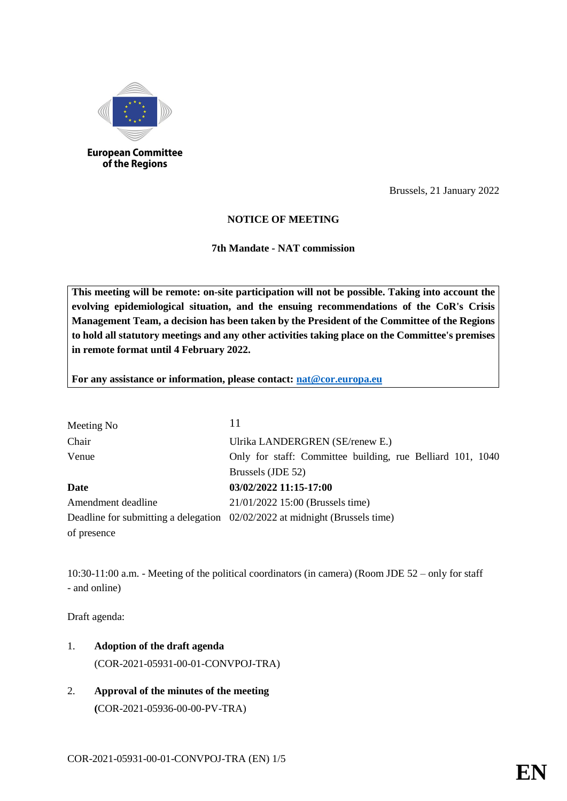

of the Regions

Brussels, 21 January 2022

## **NOTICE OF MEETING**

**7th Mandate - NAT commission** 

**This meeting will be remote: on-site participation will not be possible. Taking into account the evolving epidemiological situation, and the ensuing recommendations of the CoR's Crisis Management Team, a decision has been taken by the President of the Committee of the Regions to hold all statutory meetings and any other activities taking place on the Committee's premises in remote format until 4 February 2022.**

**For any assistance or information, please contact: [nat@cor.europa.eu](mailto:nat@cor.europa.eu)**

| Meeting No         | 11                                                                          |
|--------------------|-----------------------------------------------------------------------------|
| Chair              | Ulrika LANDERGREN (SE/renew E.)                                             |
| Venue              | Only for staff: Committee building, rue Belliard 101, 1040                  |
|                    | Brussels (JDE 52)                                                           |
| Date               | 03/02/2022 11:15-17:00                                                      |
| Amendment deadline | 21/01/2022 15:00 (Brussels time)                                            |
|                    | Deadline for submitting a delegation 02/02/2022 at midnight (Brussels time) |
| of presence        |                                                                             |

10:30-11:00 a.m. - Meeting of the political coordinators (in camera) (Room JDE 52 – only for staff - and online)

Draft agenda:

- 1. **Adoption of the draft agenda** (COR-2021-05931-00-01-CONVPOJ-TRA)
- 2. **Approval of the minutes of the meeting (**COR-2021-05936-00-00-PV-TRA)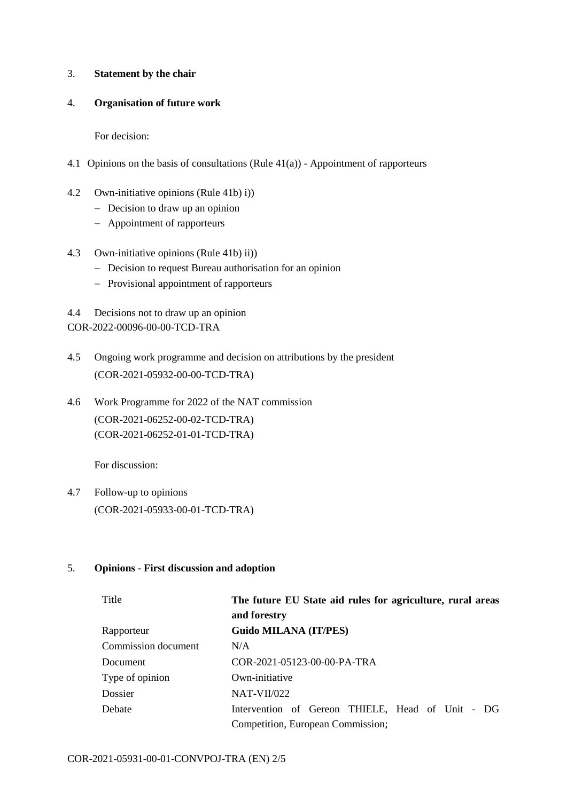### 3. **Statement by the chair**

### 4. **Organisation of future work**

For decision:

- 4.1 Opinions on the basis of consultations (Rule 41(a)) Appointment of rapporteurs
- 4.2 Own-initiative opinions (Rule 41b) i))
	- Decision to draw up an opinion
	- Appointment of rapporteurs
- 4.3 Own-initiative opinions (Rule 41b) ii))
	- Decision to request Bureau authorisation for an opinion
	- Provisional appointment of rapporteurs
- 4.4 Decisions not to draw up an opinion

COR-2022-00096-00-00-TCD-TRA

- 4.5 Ongoing work programme and decision on attributions by the president (COR-2021-05932-00-00-TCD-TRA)
- 4.6 Work Programme for 2022 of the NAT commission (COR-2021-06252-00-02-TCD-TRA) (COR-2021-06252-01-01-TCD-TRA)

For discussion:

4.7 Follow-up to opinions (COR-2021-05933-00-01-TCD-TRA)

## 5. **Opinions - First discussion and adoption**

| Title               | The future EU State aid rules for agriculture, rural areas<br>and forestry |  |  |  |  |
|---------------------|----------------------------------------------------------------------------|--|--|--|--|
| Rapporteur          | Guido MILANA (IT/PES)                                                      |  |  |  |  |
| Commission document | N/A                                                                        |  |  |  |  |
| Document            | COR-2021-05123-00-00-PA-TRA                                                |  |  |  |  |
| Type of opinion     | Own-initiative                                                             |  |  |  |  |
| Dossier             | $NAT-VII/022$                                                              |  |  |  |  |
| Debate              | Intervention of Gereon THIELE, Head of Unit - DG                           |  |  |  |  |
|                     | Competition, European Commission;                                          |  |  |  |  |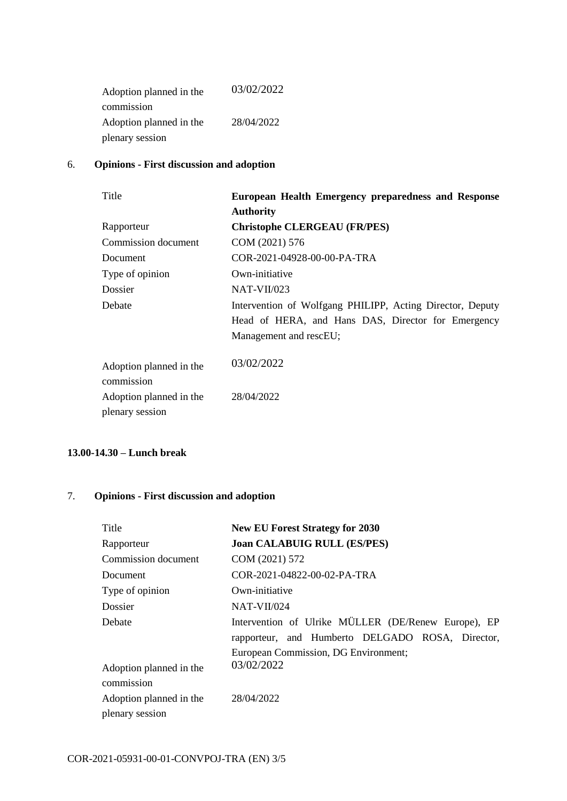| Adoption planned in the | 03/02/2022 |  |
|-------------------------|------------|--|
| commission              |            |  |
| Adoption planned in the | 28/04/2022 |  |
| plenary session         |            |  |

## 6. **Opinions - First discussion and adoption**

| Title                                 | European Health Emergency preparedness and Response       |  |
|---------------------------------------|-----------------------------------------------------------|--|
|                                       | <b>Authority</b>                                          |  |
| Rapporteur                            | <b>Christophe CLERGEAU (FR/PES)</b>                       |  |
| Commission document                   | COM (2021) 576                                            |  |
| Document                              | COR-2021-04928-00-00-PA-TRA                               |  |
| Type of opinion                       | Own-initiative                                            |  |
| Dossier                               | $NAT-VII/023$                                             |  |
| Debate                                | Intervention of Wolfgang PHILIPP, Acting Director, Deputy |  |
|                                       | Head of HERA, and Hans DAS, Director for Emergency        |  |
|                                       | Management and rescEU;                                    |  |
| Adoption planned in the<br>commission | 03/02/2022                                                |  |
| Adoption planned in the               | 28/04/2022                                                |  |
| plenary session                       |                                                           |  |

### **13.00-14.30 – Lunch break**

# 7. **Opinions - First discussion and adoption**

| Title                                      | <b>New EU Forest Strategy for 2030</b>                                                                                                          |  |  |  |
|--------------------------------------------|-------------------------------------------------------------------------------------------------------------------------------------------------|--|--|--|
| Rapporteur                                 | <b>Joan CALABUIG RULL (ES/PES)</b>                                                                                                              |  |  |  |
| Commission document                        | COM (2021) 572                                                                                                                                  |  |  |  |
| Document                                   | COR-2021-04822-00-02-PA-TRA                                                                                                                     |  |  |  |
| Type of opinion                            | Own-initiative                                                                                                                                  |  |  |  |
| Dossier                                    | $NAT-VII/024$                                                                                                                                   |  |  |  |
| Debate                                     | Intervention of Ulrike MÜLLER (DE/Renew Europe), EP<br>rapporteur, and Humberto DELGADO ROSA, Director,<br>European Commission, DG Environment; |  |  |  |
| Adoption planned in the<br>commission      | 03/02/2022                                                                                                                                      |  |  |  |
| Adoption planned in the<br>plenary session | 28/04/2022                                                                                                                                      |  |  |  |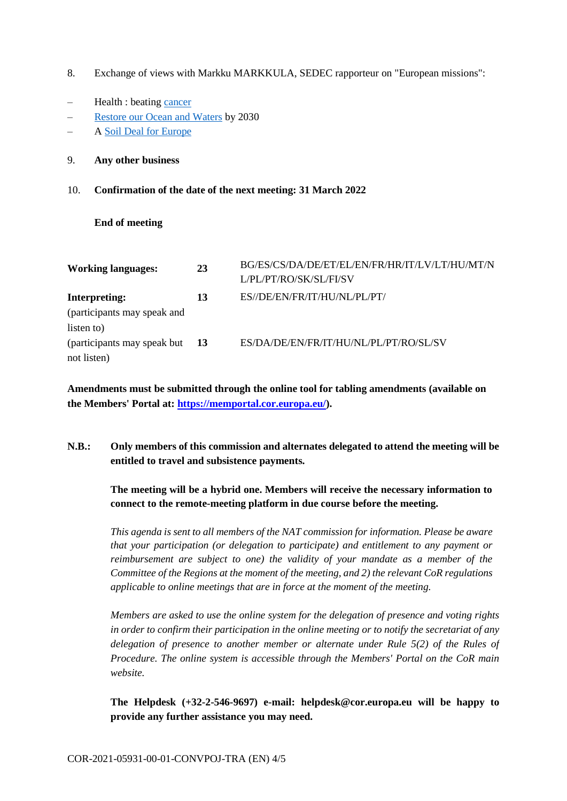- 8. Exchange of views with Markku MARKKULA, SEDEC rapporteur on "European missions":
- Health : beating [cancer](https://youtu.be/_vrWyI7qErc)
- [Restore our Ocean and Waters](https://youtu.be/L-rIQyhQajI) by 2030
- A [Soil Deal for Europe](https://youtu.be/53bbzE2IpKc)
- 9. **Any other business**
- 10. **Confirmation of the date of the next meeting: 31 March 2022**

### **End of meeting**

| <b>Working languages:</b>    | 23        | BG/ES/CS/DA/DE/ET/EL/EN/FR/HR/IT/LV/LT/HU/MT/N<br>L/PL/PT/RO/SK/SL/FI/SV |
|------------------------------|-----------|--------------------------------------------------------------------------|
| <b>Interpreting:</b>         | 13        | ES//DE/EN/FR/IT/HU/NL/PL/PT/                                             |
| (participants may speak and  |           |                                                                          |
| listen to)                   |           |                                                                          |
| (participants may speak but) | <b>13</b> | ES/DA/DE/EN/FR/IT/HU/NL/PL/PT/RO/SL/SV                                   |
| not listen)                  |           |                                                                          |

**Amendments must be submitted through the online tool for tabling amendments (available on the Members' Portal at: https://memportal.cor.europa.eu/).**

**N.B.: Only members of this commission and alternates delegated to attend the meeting will be entitled to travel and subsistence payments.**

**The meeting will be a hybrid one. Members will receive the necessary information to connect to the remote-meeting platform in due course before the meeting.**

*This agenda is sent to all members of the NAT commission for information. Please be aware that your participation (or delegation to participate) and entitlement to any payment or reimbursement are subject to one) the validity of your mandate as a member of the Committee of the Regions at the moment of the meeting, and 2) the relevant CoR regulations applicable to online meetings that are in force at the moment of the meeting.*

*Members are asked to use the online system for the delegation of presence and voting rights in order to confirm their participation in the online meeting or to notify the secretariat of any delegation of presence to another member or alternate under Rule 5(2) of the Rules of Procedure. The online system is accessible through the Members' Portal on the CoR main website.*

**The Helpdesk (+32-2-546-9697) e-mail: helpdesk@cor.europa.eu will be happy to provide any further assistance you may need.**